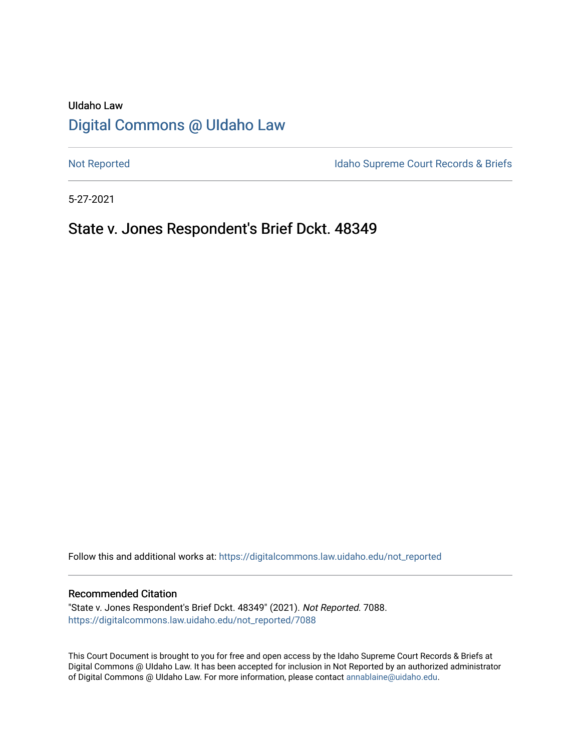# UIdaho Law [Digital Commons @ UIdaho Law](https://digitalcommons.law.uidaho.edu/)

[Not Reported](https://digitalcommons.law.uidaho.edu/not_reported) **Idaho Supreme Court Records & Briefs** 

5-27-2021

## State v. Jones Respondent's Brief Dckt. 48349

Follow this and additional works at: [https://digitalcommons.law.uidaho.edu/not\\_reported](https://digitalcommons.law.uidaho.edu/not_reported?utm_source=digitalcommons.law.uidaho.edu%2Fnot_reported%2F7088&utm_medium=PDF&utm_campaign=PDFCoverPages) 

#### Recommended Citation

"State v. Jones Respondent's Brief Dckt. 48349" (2021). Not Reported. 7088. [https://digitalcommons.law.uidaho.edu/not\\_reported/7088](https://digitalcommons.law.uidaho.edu/not_reported/7088?utm_source=digitalcommons.law.uidaho.edu%2Fnot_reported%2F7088&utm_medium=PDF&utm_campaign=PDFCoverPages)

This Court Document is brought to you for free and open access by the Idaho Supreme Court Records & Briefs at Digital Commons @ UIdaho Law. It has been accepted for inclusion in Not Reported by an authorized administrator of Digital Commons @ UIdaho Law. For more information, please contact [annablaine@uidaho.edu](mailto:annablaine@uidaho.edu).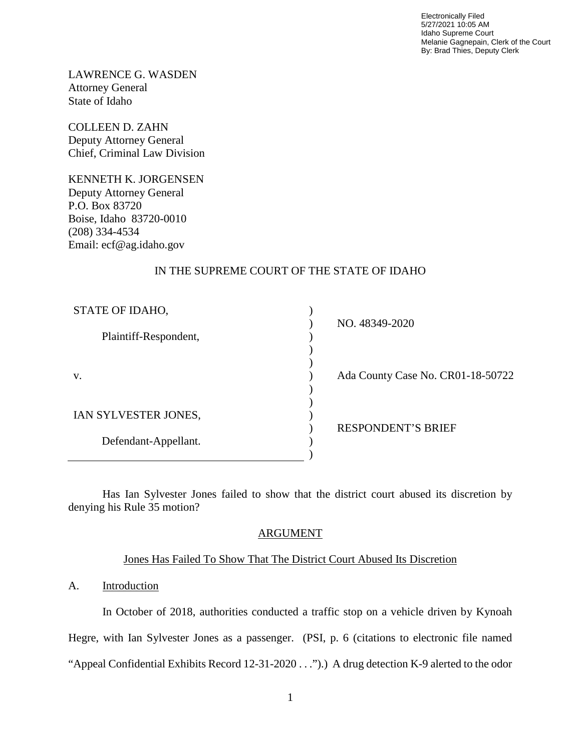Electronically Filed 5/27/2021 10:05 AM Idaho Supreme Court Melanie Gagnepain, Clerk of the Court By: Brad Thies, Deputy Clerk

LAWRENCE G. WASDEN Attorney General State of Idaho

COLLEEN D. ZAHN Deputy Attorney General Chief, Criminal Law Division

KENNETH K. JORGENSEN Deputy Attorney General P.O. Box 83720 Boise, Idaho 83720-0010 (208) 334-4534 Email: ecf@ag.idaho.gov

## IN THE SUPREME COURT OF THE STATE OF IDAHO

| STATE OF IDAHO,       |                                   |
|-----------------------|-----------------------------------|
| Plaintiff-Respondent, | NO. 48349-2020                    |
|                       |                                   |
| V.                    | Ada County Case No. CR01-18-50722 |
|                       |                                   |
| IAN SYLVESTER JONES,  |                                   |
| Defendant-Appellant.  | <b>RESPONDENT'S BRIEF</b>         |
|                       |                                   |
|                       |                                   |

Has Ian Sylvester Jones failed to show that the district court abused its discretion by denying his Rule 35 motion?

## ARGUMENT

### Jones Has Failed To Show That The District Court Abused Its Discretion

## A. Introduction

In October of 2018, authorities conducted a traffic stop on a vehicle driven by Kynoah Hegre, with Ian Sylvester Jones as a passenger. (PSI, p. 6 (citations to electronic file named "Appeal Confidential Exhibits Record 12-31-2020 . . .").) A drug detection K-9 alerted to the odor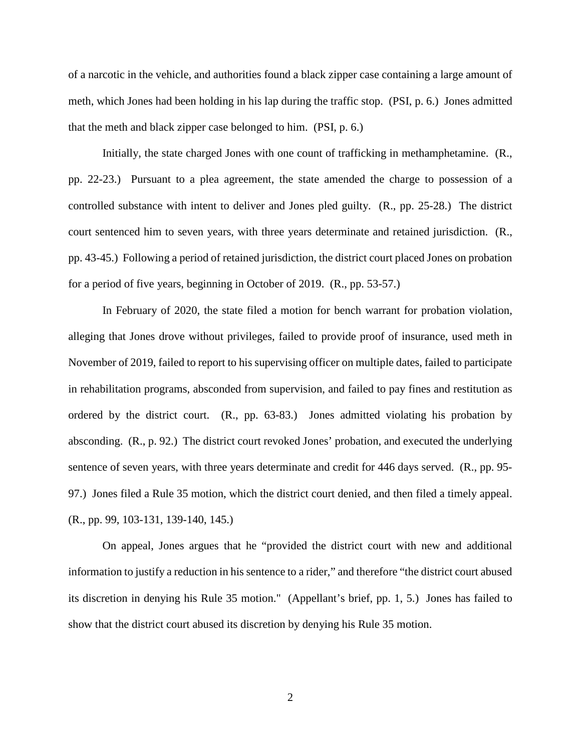of a narcotic in the vehicle, and authorities found a black zipper case containing a large amount of meth, which Jones had been holding in his lap during the traffic stop. (PSI, p. 6.) Jones admitted that the meth and black zipper case belonged to him. (PSI, p. 6.)

Initially, the state charged Jones with one count of trafficking in methamphetamine. (R., pp. 22-23.) Pursuant to a plea agreement, the state amended the charge to possession of a controlled substance with intent to deliver and Jones pled guilty. (R., pp. 25-28.) The district court sentenced him to seven years, with three years determinate and retained jurisdiction. (R., pp. 43-45.) Following a period of retained jurisdiction, the district court placed Jones on probation for a period of five years, beginning in October of 2019. (R., pp. 53-57.)

In February of 2020, the state filed a motion for bench warrant for probation violation, alleging that Jones drove without privileges, failed to provide proof of insurance, used meth in November of 2019, failed to report to his supervising officer on multiple dates, failed to participate in rehabilitation programs, absconded from supervision, and failed to pay fines and restitution as ordered by the district court. (R., pp. 63-83.) Jones admitted violating his probation by absconding. (R., p. 92.) The district court revoked Jones' probation, and executed the underlying sentence of seven years, with three years determinate and credit for 446 days served. (R., pp. 95- 97.) Jones filed a Rule 35 motion, which the district court denied, and then filed a timely appeal. (R., pp. 99, 103-131, 139-140, 145.)

On appeal, Jones argues that he "provided the district court with new and additional information to justify a reduction in his sentence to a rider," and therefore "the district court abused its discretion in denying his Rule 35 motion." (Appellant's brief, pp. 1, 5.) Jones has failed to show that the district court abused its discretion by denying his Rule 35 motion.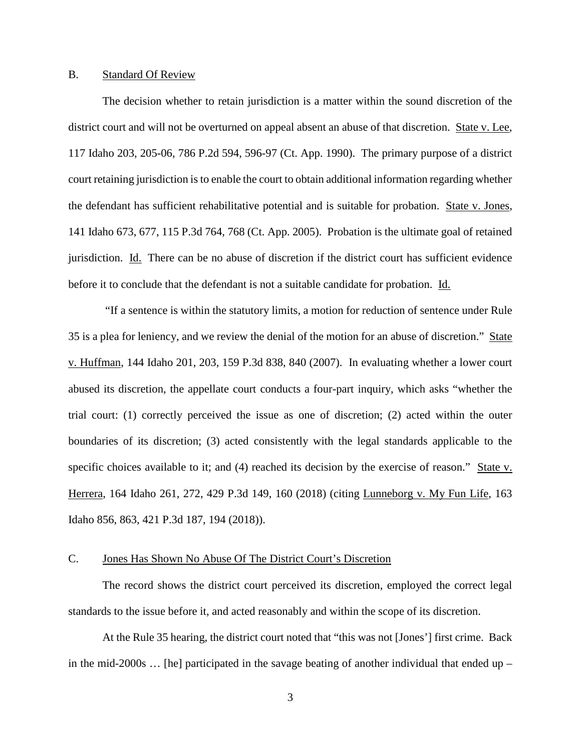### B. Standard Of Review

The decision whether to retain jurisdiction is a matter within the sound discretion of the district court and will not be overturned on appeal absent an abuse of that discretion. State v. Lee, 117 Idaho 203, 205-06, 786 P.2d 594, 596-97 (Ct. App. 1990). The primary purpose of a district court retaining jurisdiction is to enable the court to obtain additional information regarding whether the defendant has sufficient rehabilitative potential and is suitable for probation. State v. Jones, 141 Idaho 673, 677, 115 P.3d 764, 768 (Ct. App. 2005). Probation is the ultimate goal of retained jurisdiction. Id. There can be no abuse of discretion if the district court has sufficient evidence before it to conclude that the defendant is not a suitable candidate for probation. Id.

 "If a sentence is within the statutory limits, a motion for reduction of sentence under Rule 35 is a plea for leniency, and we review the denial of the motion for an abuse of discretion." State v. Huffman, 144 Idaho 201, 203, 159 P.3d 838, 840 (2007). In evaluating whether a lower court abused its discretion, the appellate court conducts a four-part inquiry, which asks "whether the trial court: (1) correctly perceived the issue as one of discretion; (2) acted within the outer boundaries of its discretion; (3) acted consistently with the legal standards applicable to the specific choices available to it; and (4) reached its decision by the exercise of reason." State v. Herrera, 164 Idaho 261, 272, 429 P.3d 149, 160 (2018) (citing Lunneborg v. My Fun Life, 163 Idaho 856, 863, 421 P.3d 187, 194 (2018)).

## C. Jones Has Shown No Abuse Of The District Court's Discretion

The record shows the district court perceived its discretion, employed the correct legal standards to the issue before it, and acted reasonably and within the scope of its discretion.

At the Rule 35 hearing, the district court noted that "this was not [Jones'] first crime. Back in the mid-2000s … [he] participated in the savage beating of another individual that ended up –

3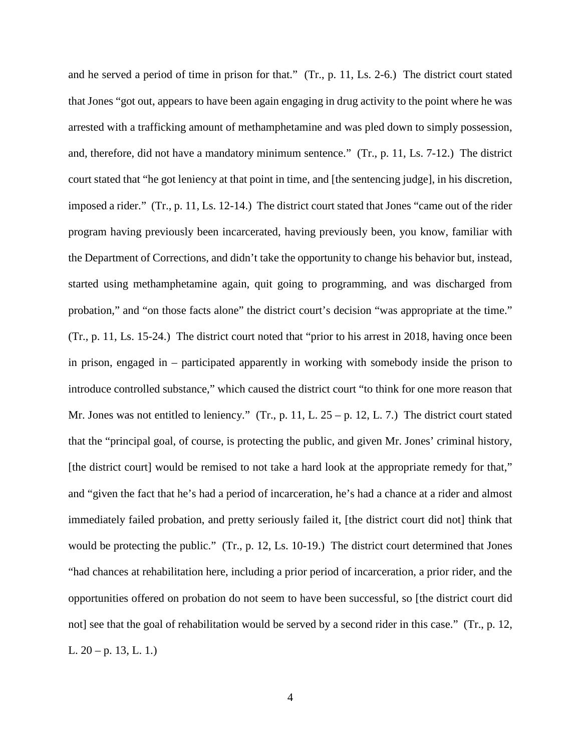and he served a period of time in prison for that." (Tr., p. 11, Ls. 2-6.) The district court stated that Jones "got out, appears to have been again engaging in drug activity to the point where he was arrested with a trafficking amount of methamphetamine and was pled down to simply possession, and, therefore, did not have a mandatory minimum sentence." (Tr., p. 11, Ls. 7-12.) The district court stated that "he got leniency at that point in time, and [the sentencing judge], in his discretion, imposed a rider." (Tr., p. 11, Ls. 12-14.) The district court stated that Jones "came out of the rider program having previously been incarcerated, having previously been, you know, familiar with the Department of Corrections, and didn't take the opportunity to change his behavior but, instead, started using methamphetamine again, quit going to programming, and was discharged from probation," and "on those facts alone" the district court's decision "was appropriate at the time." (Tr., p. 11, Ls. 15-24.) The district court noted that "prior to his arrest in 2018, having once been in prison, engaged in – participated apparently in working with somebody inside the prison to introduce controlled substance," which caused the district court "to think for one more reason that Mr. Jones was not entitled to leniency." (Tr., p. 11, L. 25 – p. 12, L. 7.) The district court stated that the "principal goal, of course, is protecting the public, and given Mr. Jones' criminal history, [the district court] would be remised to not take a hard look at the appropriate remedy for that," and "given the fact that he's had a period of incarceration, he's had a chance at a rider and almost immediately failed probation, and pretty seriously failed it, [the district court did not] think that would be protecting the public." (Tr., p. 12, Ls. 10-19.) The district court determined that Jones "had chances at rehabilitation here, including a prior period of incarceration, a prior rider, and the opportunities offered on probation do not seem to have been successful, so [the district court did not] see that the goal of rehabilitation would be served by a second rider in this case." (Tr., p. 12, L.  $20 - p$ . 13, L. 1.)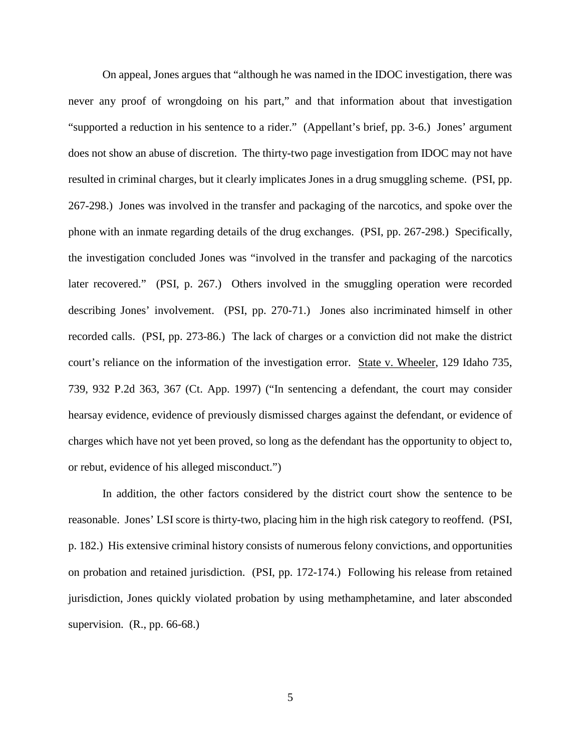On appeal, Jones argues that "although he was named in the IDOC investigation, there was never any proof of wrongdoing on his part," and that information about that investigation "supported a reduction in his sentence to a rider." (Appellant's brief, pp. 3-6.) Jones' argument does not show an abuse of discretion. The thirty-two page investigation from IDOC may not have resulted in criminal charges, but it clearly implicates Jones in a drug smuggling scheme. (PSI, pp. 267-298.) Jones was involved in the transfer and packaging of the narcotics, and spoke over the phone with an inmate regarding details of the drug exchanges. (PSI, pp. 267-298.) Specifically, the investigation concluded Jones was "involved in the transfer and packaging of the narcotics later recovered." (PSI, p. 267.) Others involved in the smuggling operation were recorded describing Jones' involvement. (PSI, pp. 270-71.) Jones also incriminated himself in other recorded calls. (PSI, pp. 273-86.) The lack of charges or a conviction did not make the district court's reliance on the information of the investigation error. State v. Wheeler, 129 Idaho 735, 739, 932 P.2d 363, 367 (Ct. App. 1997) ("In sentencing a defendant, the court may consider hearsay evidence, evidence of previously dismissed charges against the defendant, or evidence of charges which have not yet been proved, so long as the defendant has the opportunity to object to, or rebut, evidence of his alleged misconduct.")

In addition, the other factors considered by the district court show the sentence to be reasonable. Jones' LSI score is thirty-two, placing him in the high risk category to reoffend. (PSI, p. 182.) His extensive criminal history consists of numerous felony convictions, and opportunities on probation and retained jurisdiction. (PSI, pp. 172-174.) Following his release from retained jurisdiction, Jones quickly violated probation by using methamphetamine, and later absconded supervision.  $(R., pp. 66-68.)$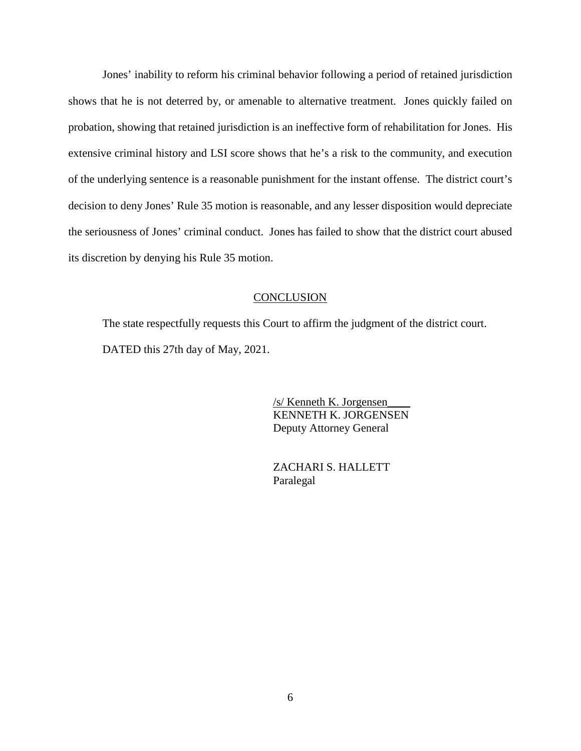Jones' inability to reform his criminal behavior following a period of retained jurisdiction shows that he is not deterred by, or amenable to alternative treatment. Jones quickly failed on probation, showing that retained jurisdiction is an ineffective form of rehabilitation for Jones. His extensive criminal history and LSI score shows that he's a risk to the community, and execution of the underlying sentence is a reasonable punishment for the instant offense. The district court's decision to deny Jones' Rule 35 motion is reasonable, and any lesser disposition would depreciate the seriousness of Jones' criminal conduct. Jones has failed to show that the district court abused its discretion by denying his Rule 35 motion.

#### **CONCLUSION**

The state respectfully requests this Court to affirm the judgment of the district court. DATED this 27th day of May, 2021.

> /s/ Kenneth K. Jorgensen\_\_\_\_ KENNETH K. JORGENSEN Deputy Attorney General

 ZACHARI S. HALLETT Paralegal